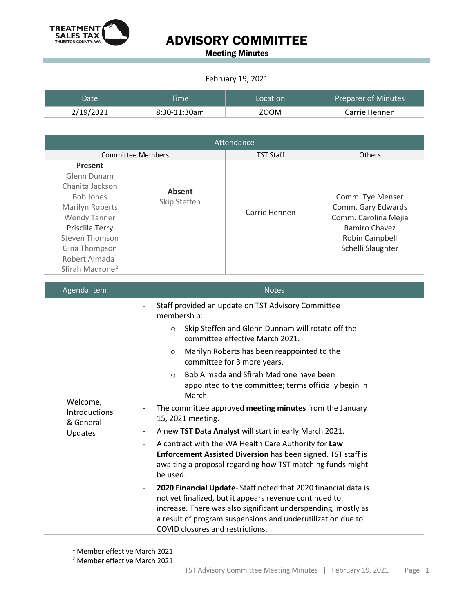

## ADVISORY COMMITTEE

Meeting Minutes

## February 19, 2021

| Date      | <b>Time</b>    | Location | <b>Preparer of Minutes</b> |
|-----------|----------------|----------|----------------------------|
| 2/19/2021 | $8:30-11:30am$ | ZOOM     | Carrie Hennen              |

| Attendance                                                                                                                                                                                                                 |                               |                  |                                                                                                                        |  |  |
|----------------------------------------------------------------------------------------------------------------------------------------------------------------------------------------------------------------------------|-------------------------------|------------------|------------------------------------------------------------------------------------------------------------------------|--|--|
|                                                                                                                                                                                                                            | <b>Committee Members</b>      | <b>TST Staff</b> | <b>Others</b>                                                                                                          |  |  |
| <b>Present</b><br>Glenn Dunam<br>Chanita Jackson<br>Bob Jones<br>Marilyn Roberts<br><b>Wendy Tanner</b><br>Priscilla Terry<br>Steven Thomson<br>Gina Thompson<br>Robert Almada <sup>1</sup><br>Sfirah Madrone <sup>2</sup> | <b>Absent</b><br>Skip Steffen | Carrie Hennen    | Comm. Tye Menser<br>Comm. Gary Edwards<br>Comm. Carolina Mejia<br>Ramiro Chavez<br>Robin Campbell<br>Schelli Slaughter |  |  |

| Agenda Item                                       | <b>Notes</b>                                                                                                                                                                                                                                                                                                            |  |
|---------------------------------------------------|-------------------------------------------------------------------------------------------------------------------------------------------------------------------------------------------------------------------------------------------------------------------------------------------------------------------------|--|
| Welcome,<br>Introductions<br>& General<br>Updates | Staff provided an update on TST Advisory Committee<br>$\overline{\phantom{0}}$<br>membership:<br>Skip Steffen and Glenn Dunnam will rotate off the<br>$\circ$<br>committee effective March 2021.                                                                                                                        |  |
|                                                   | Marilyn Roberts has been reappointed to the<br>$\circ$<br>committee for 3 more years.                                                                                                                                                                                                                                   |  |
|                                                   | Bob Almada and Sfirah Madrone have been<br>$\Omega$<br>appointed to the committee; terms officially begin in<br>March.                                                                                                                                                                                                  |  |
|                                                   | The committee approved meeting minutes from the January<br>15, 2021 meeting.                                                                                                                                                                                                                                            |  |
|                                                   | A new TST Data Analyst will start in early March 2021.<br>-                                                                                                                                                                                                                                                             |  |
|                                                   | A contract with the WA Health Care Authority for Law<br>Enforcement Assisted Diversion has been signed. TST staff is<br>awaiting a proposal regarding how TST matching funds might<br>be used.                                                                                                                          |  |
|                                                   | 2020 Financial Update-Staff noted that 2020 financial data is<br>$\overline{\phantom{0}}$<br>not yet finalized, but it appears revenue continued to<br>increase. There was also significant underspending, mostly as<br>a result of program suspensions and underutilization due to<br>COVID closures and restrictions. |  |

<sup>1</sup> Member effective March 2021

<span id="page-0-1"></span><span id="page-0-0"></span><sup>2</sup> Member effective March 2021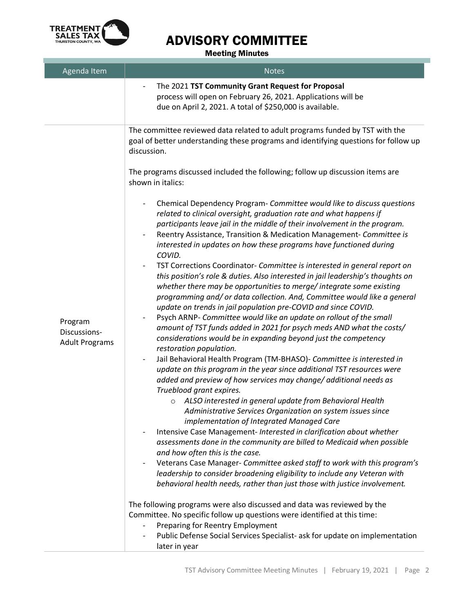

T.

## ADVISORY COMMITTEE

Meeting Minutes

| Agenda Item                                      | <b>Notes</b>                                                                                                                                                                                                                                                                                                                                                                                                                                                                                                                                                                                                                                                                                                                                                                                                                                                                                                                                                                                                                                                                                                                                                                                                                                                                                                                                                                                                                                                                                                                                                                                                                                                                                                                                                                                                                                                                                                                                                                                                                                                                                                                                                                                                                                                                                                                  |
|--------------------------------------------------|-------------------------------------------------------------------------------------------------------------------------------------------------------------------------------------------------------------------------------------------------------------------------------------------------------------------------------------------------------------------------------------------------------------------------------------------------------------------------------------------------------------------------------------------------------------------------------------------------------------------------------------------------------------------------------------------------------------------------------------------------------------------------------------------------------------------------------------------------------------------------------------------------------------------------------------------------------------------------------------------------------------------------------------------------------------------------------------------------------------------------------------------------------------------------------------------------------------------------------------------------------------------------------------------------------------------------------------------------------------------------------------------------------------------------------------------------------------------------------------------------------------------------------------------------------------------------------------------------------------------------------------------------------------------------------------------------------------------------------------------------------------------------------------------------------------------------------------------------------------------------------------------------------------------------------------------------------------------------------------------------------------------------------------------------------------------------------------------------------------------------------------------------------------------------------------------------------------------------------------------------------------------------------------------------------------------------------|
|                                                  | The 2021 TST Community Grant Request for Proposal<br>process will open on February 26, 2021. Applications will be<br>due on April 2, 2021. A total of \$250,000 is available.                                                                                                                                                                                                                                                                                                                                                                                                                                                                                                                                                                                                                                                                                                                                                                                                                                                                                                                                                                                                                                                                                                                                                                                                                                                                                                                                                                                                                                                                                                                                                                                                                                                                                                                                                                                                                                                                                                                                                                                                                                                                                                                                                 |
| Program<br>Discussions-<br><b>Adult Programs</b> | The committee reviewed data related to adult programs funded by TST with the<br>goal of better understanding these programs and identifying questions for follow up<br>discussion.<br>The programs discussed included the following; follow up discussion items are<br>shown in italics:<br>Chemical Dependency Program- Committee would like to discuss questions<br>$\overline{\phantom{a}}$<br>related to clinical oversight, graduation rate and what happens if<br>participants leave jail in the middle of their involvement in the program.<br>Reentry Assistance, Transition & Medication Management- Committee is<br>$\qquad \qquad \blacksquare$<br>interested in updates on how these programs have functioned during<br>COVID.<br>TST Corrections Coordinator- Committee is interested in general report on<br>this position's role & duties. Also interested in jail leadership's thoughts on<br>whether there may be opportunities to merge/ integrate some existing<br>programming and/ or data collection. And, Committee would like a general<br>update on trends in jail population pre-COVID and since COVID.<br>Psych ARNP- Committee would like an update on rollout of the small<br>$\qquad \qquad \blacksquare$<br>amount of TST funds added in 2021 for psych meds AND what the costs/<br>considerations would be in expanding beyond just the competency<br>restoration population.<br>Jail Behavioral Health Program (TM-BHASO)- Committee is interested in<br>$\overline{\phantom{a}}$<br>update on this program in the year since additional TST resources were<br>added and preview of how services may change/ additional needs as<br>Trueblood grant expires.<br>o ALSO interested in general update from Behavioral Health<br>Administrative Services Organization on system issues since<br>implementation of Integrated Managed Care<br>Intensive Case Management- Interested in clarification about whether<br>assessments done in the community are billed to Medicaid when possible<br>and how often this is the case.<br>Veterans Case Manager- Committee asked staff to work with this program's<br>$\overline{\phantom{0}}$<br>leadership to consider broadening eligibility to include any Veteran with<br>behavioral health needs, rather than just those with justice involvement. |
|                                                  | The following programs were also discussed and data was reviewed by the<br>Committee. No specific follow up questions were identified at this time:<br>Preparing for Reentry Employment<br>Public Defense Social Services Specialist- ask for update on implementation<br>later in year                                                                                                                                                                                                                                                                                                                                                                                                                                                                                                                                                                                                                                                                                                                                                                                                                                                                                                                                                                                                                                                                                                                                                                                                                                                                                                                                                                                                                                                                                                                                                                                                                                                                                                                                                                                                                                                                                                                                                                                                                                       |